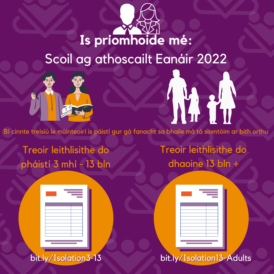## **Is príomhoide mé:** Scoil ag athoscailt Eanáir 2022



Bí cinnte treisiú le múinteoirí is páistí gur gá fanacht sa bhaile má tá siomtóim ar bith orthu

Treoir leithlisithe do pháistí 3 mhí - 13 bln Treoir leithlisithe do dhaoine 13 bln +

N. H





bit.ly/Isolation13-Adults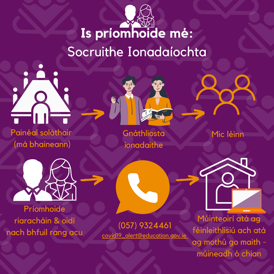## **Is príomhoide mé:** Socruithe Ionadaíochta



Painéal soláthair (má bhaineann)



Gnáthliosta ionadaithe

Mic léinn



Príomhoide riaracháin & oidí nach bhfuil rang acu

(057) 9324461 covid19\_alert@education.gov.ie

Múinteoirí atá ag féinleithlisiú ach atá ag mothú go maith múineadh ó chian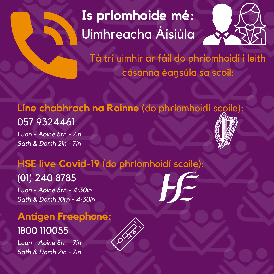## **Is príomhoide mé:** Uimhreacha Áisiúla



Tá trí uimhir ar fáil do phríomhoidí i leith cásanna éagsúla sa scoil:

#### **Líne chabhrach na Roinne** (do phríomhoidí scoile):

057 9324461

*Luan - Aoine 8rn - 7in Sath & Domh 2in - 7in*

#### **HSE live Covid-19** (do phríomhoidí scoile):

#### (01) 240 8785

*Luan - Aoine 8rn - 4:30in Sath & Domh 10rn - 4:30in*

#### **Antigen Freephone:** 1800 110055

*Luan - Aoine 8rn - 7in Sath & Domh 2in - 7in*

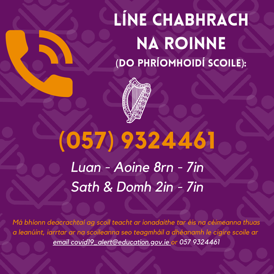## Líne chabhrach na roinne (do phríomhoidí scoile):



# **(057) 9324461**

*LLuuaann -- AAooiinnee 88rrnn -- 77iinn SSaatthh && DDoommhh 22iinn -- 77iinn*

*Má bhíonn deacrachtaí ag scoil teacht ar ionadaithe tar éis na céimeanna thuas a leanúint, iarrtar ar na scoileanna seo teagmháil a dhéanamh le cigire scoile ar email covid19\_alert@education.gov.ie or 057 9324461*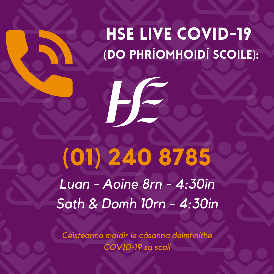## HSE LIVE COVID-19 (do phríomhoidí scoile):

**(01) 240 8785** *LLuuaann -- AAooiinnee 88rrnn -- 44::3300iinn SSaatthh && DDoommhh 1100rrnn -- 44::3300iinn*

HE

*Ceisteanna maidir le cásanna deimhnithe COVID-19 sa scoil*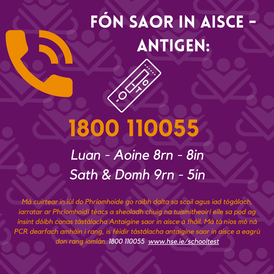## Fón saor in aisce - Antigen:

# **1800 110055**

*LLuuaann -- AAooiinnee 88rrnn -- 88iinn* **Sath & Domh 9rn - 5in** 

*Má cuirtear in iúl do Phríomhoide go raibh dalta sa scoil agus iad tógálach, iarratar ar Phríomhoidí téacs a sheoladh chuig na tuismitheoirí eile sa pod ag insint dóibh conas tástálacha Antaigine saor in aisce a fháil. Má tá níos mó ná PCR dearfach amháin i rang, is féidir tástálacha antaigine saor in aisce a eagrú don rang iomlán. 1800 110055 www.hse.ie/schooltest*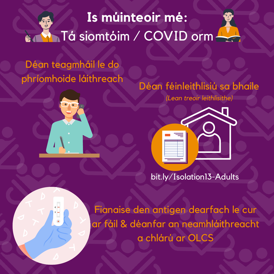## **Is múinteoir mé: Tá siomtóim / COVID orm**

#### Déan teagmháil le do phríomhoide láithreach





*(Lean treoir leithlisithe)*



#### bit.ly/Isolation13-Adults

Fianaise den antigen dearfach le cur ar fáil & déanfar an neamhláithreacht a chlárú ar OLCS